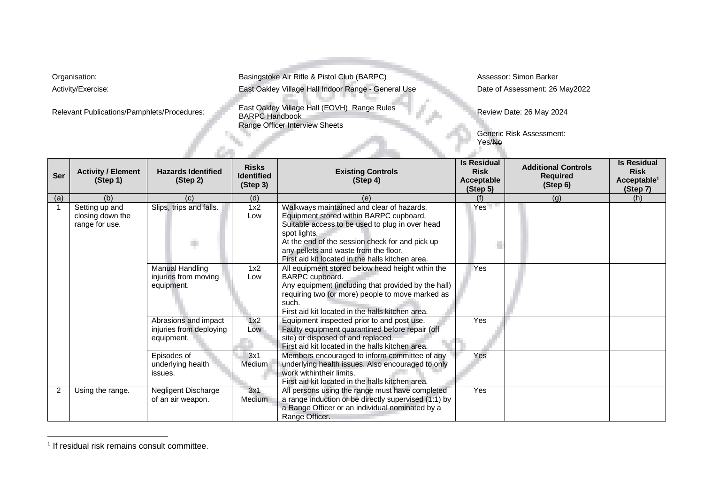Organisation: **Basingstoke Air Rifle & Pistol Club (BARPC)** Assessor: Simon Barker Activity/Exercise: East Oakley Village Hall Indoor Range - General Use Date of Assessment: 26 May2022

Relevant Publications/Pamphlets/Procedures: East Oakley Village Hall (EOVH) Range Rules<br>BARPC Handbook Range Officer Interview Sheets

ъ.

Review Date: 26 May 2024

Generic Risk Assessment: Yes/No

| Ser            | <b>Activity / Element</b><br>(Step 1)                | <b>Hazards Identified</b><br>(Step 2)                         | <b>Risks</b><br><b>Identified</b><br>(Step 3) | <b>Existing Controls</b><br>(Step 4)                                                                                                                                                                                                                                                                    | <b>Is Residual</b><br><b>Risk</b><br>Acceptable<br>(Step 5) | <b>Additional Controls</b><br><b>Required</b><br>(Step 6) | <b>Is Residual</b><br><b>Risk</b><br>Acceptable <sup>1</sup><br>(Step 7) |
|----------------|------------------------------------------------------|---------------------------------------------------------------|-----------------------------------------------|---------------------------------------------------------------------------------------------------------------------------------------------------------------------------------------------------------------------------------------------------------------------------------------------------------|-------------------------------------------------------------|-----------------------------------------------------------|--------------------------------------------------------------------------|
| (a)            | (b)                                                  | (C)                                                           | (d)                                           | (e)                                                                                                                                                                                                                                                                                                     |                                                             | (g)                                                       | (h)                                                                      |
|                | Setting up and<br>closing down the<br>range for use. | Slips, trips and falls.<br>ń.                                 | 1x2<br>Low                                    | Walkways maintained and clear of hazards.<br>Equipment stored within BARPC cupboard.<br>Suitable access to be used to plug in over head<br>spot lights.<br>At the end of the session check for and pick up<br>any pellets and waste from the floor.<br>First aid kit located in the halls kitchen area. | Yes                                                         |                                                           |                                                                          |
|                |                                                      | <b>Manual Handling</b><br>injuries from moving<br>equipment.  | 1x2<br>Low                                    | All equipment stored below head height wthin the<br>BARPC cupboard.<br>Any equipment (including that provided by the hall)<br>requiring two (or more) people to move marked as<br>such.<br>First aid kit located in the halls kitchen area.                                                             | Yes                                                         |                                                           |                                                                          |
|                |                                                      | Abrasions and impact<br>injuries from deploying<br>equipment. | 1x2<br>Low                                    | Equipment inspected prior to and post use.<br>Faulty equipment quarantined before repair (off<br>site) or disposed of and replaced.<br>First aid kit located in the halls kitchen area.                                                                                                                 | Yes                                                         |                                                           |                                                                          |
|                |                                                      | Episodes of<br>underlying health<br>issues.                   | 3x1<br>Medium                                 | Members encouraged to inform committee of any<br>underlying health issues. Also encouraged to only<br>work withintheir limits.<br>First aid kit located in the halls kitchen area.                                                                                                                      | Yes                                                         |                                                           |                                                                          |
| $\overline{2}$ | Using the range.                                     | Negligent Discharge<br>of an air weapon.                      | 3x1<br>Medium                                 | All persons using the range must have completed<br>a range induction or be directly supervised (1:1) by<br>a Range Officer or an individual nominated by a<br>Range Officer.                                                                                                                            | Yes                                                         |                                                           |                                                                          |

<sup>&</sup>lt;sup>1</sup> If residual risk remains consult committee.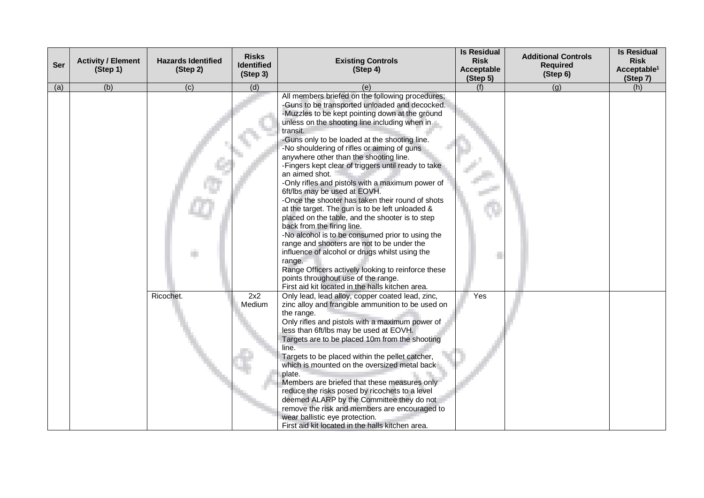| Ser | <b>Activity / Element</b><br>(Step 1) | <b>Hazards Identified</b><br>(Step 2) | <b>Risks</b><br><b>Identified</b><br>(Step 3) | <b>Existing Controls</b><br>(Step 4)                                                                                                                                                                                                                                                                                                                                                                                                                                                                                                                                                                                                                                                                                                                                                                                                                                                                                                                                                                                             | <b>Is Residual</b><br><b>Risk</b><br>Acceptable<br>(Step 5) | <b>Additional Controls</b><br><b>Required</b><br>(Step 6) | <b>Is Residual</b><br><b>Risk</b><br>Acceptable <sup>1</sup><br>(Step 7) |
|-----|---------------------------------------|---------------------------------------|-----------------------------------------------|----------------------------------------------------------------------------------------------------------------------------------------------------------------------------------------------------------------------------------------------------------------------------------------------------------------------------------------------------------------------------------------------------------------------------------------------------------------------------------------------------------------------------------------------------------------------------------------------------------------------------------------------------------------------------------------------------------------------------------------------------------------------------------------------------------------------------------------------------------------------------------------------------------------------------------------------------------------------------------------------------------------------------------|-------------------------------------------------------------|-----------------------------------------------------------|--------------------------------------------------------------------------|
| (a) | (b)                                   | $\overline{c}$                        | (d)                                           | (e)                                                                                                                                                                                                                                                                                                                                                                                                                                                                                                                                                                                                                                                                                                                                                                                                                                                                                                                                                                                                                              | (f)                                                         | (q)                                                       | (h)                                                                      |
|     |                                       |                                       |                                               | All members briefed on the following procedures;<br>-Guns to be transported unloaded and decocked.<br>-Muzzles to be kept pointing down at the ground<br>unless on the shooting line including when in<br>transit.<br>-Guns only to be loaded at the shooting line.<br>-No shouldering of rifles or aiming of guns<br>anywhere other than the shooting line.<br>-Fingers kept clear of triggers until ready to take<br>an aimed shot.<br>-Only rifles and pistols with a maximum power of<br>6ft/lbs may be used at EOVH.<br>-Once the shooter has taken their round of shots<br>at the target. The gun is to be left unloaded &<br>placed on the table, and the shooter is to step<br>back from the firing line.<br>-No alcohol is to be consumed prior to using the<br>range and shooters are not to be under the<br>influence of alcohol or drugs whilst using the<br>range.<br>Range Officers actively looking to reinforce these<br>points throughout use of the range.<br>First aid kit located in the halls kitchen area. |                                                             |                                                           |                                                                          |
|     |                                       | Ricochet.                             | 2x2<br>Medium                                 | Only lead, lead alloy, copper coated lead, zinc,<br>zinc alloy and frangible ammunition to be used on<br>the range.<br>Only rifles and pistols with a maximum power of<br>less than 6ft/lbs may be used at EOVH.<br>Targets are to be placed 10m from the shooting<br>line.<br>Targets to be placed within the pellet catcher,<br>which is mounted on the oversized metal back<br>plate.<br>Members are briefed that these measures only<br>reduce the risks posed by ricochets to a level<br>deemed ALARP by the Committee they do not<br>remove the risk and members are encouraged to<br>wear ballistic eye protection.<br>First aid kit located in the halls kitchen area.                                                                                                                                                                                                                                                                                                                                                   | Yes                                                         |                                                           |                                                                          |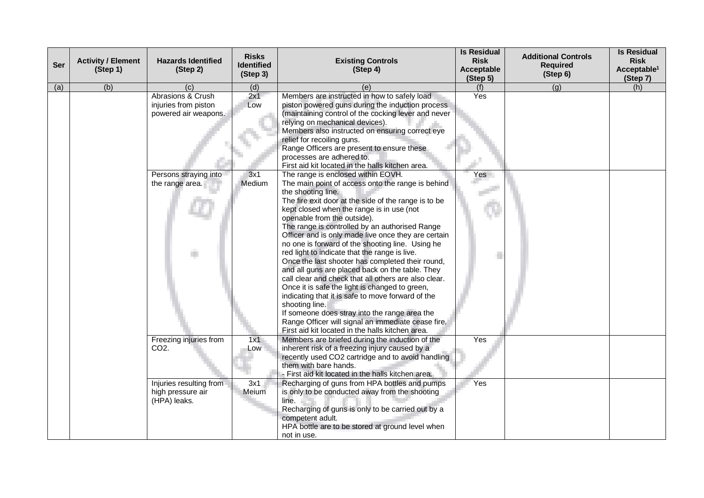| <b>Ser</b> | <b>Activity / Element</b><br>(Step 1) | <b>Hazards Identified</b><br>(Step 2)                             | <b>Risks</b><br><b>Identified</b><br>(Step 3) | <b>Existing Controls</b><br>(Step 4)                                                                                                                                                                                                                                                                                                                                                                                                                                                                                                                                                                                                                                                                                                                                                                                                                                                                               | <b>Is Residual</b><br><b>Risk</b><br>Acceptable<br>(Step 5) | <b>Additional Controls</b><br><b>Required</b><br>(Step 6) | <b>Is Residual</b><br><b>Risk</b><br>Acceptable <sup>1</sup><br>(Step 7) |
|------------|---------------------------------------|-------------------------------------------------------------------|-----------------------------------------------|--------------------------------------------------------------------------------------------------------------------------------------------------------------------------------------------------------------------------------------------------------------------------------------------------------------------------------------------------------------------------------------------------------------------------------------------------------------------------------------------------------------------------------------------------------------------------------------------------------------------------------------------------------------------------------------------------------------------------------------------------------------------------------------------------------------------------------------------------------------------------------------------------------------------|-------------------------------------------------------------|-----------------------------------------------------------|--------------------------------------------------------------------------|
| (a)        | (b)                                   | (c)                                                               | (d)                                           | (e)                                                                                                                                                                                                                                                                                                                                                                                                                                                                                                                                                                                                                                                                                                                                                                                                                                                                                                                | (f)                                                         | (g)                                                       | (h)                                                                      |
|            |                                       | Abrasions & Crush<br>injuries from piston<br>powered air weapons. | 2x1<br>Low                                    | Members are instructed in how to safely load<br>piston powered guns during the induction process<br>(maintaining control of the cocking lever and never<br>relying on mechanical devices).<br>Members also instructed on ensuring correct eye<br>relief for recoiling guns.<br>Range Officers are present to ensure these<br>processes are adhered to.<br>First aid kit located in the halls kitchen area.                                                                                                                                                                                                                                                                                                                                                                                                                                                                                                         | Yes                                                         |                                                           |                                                                          |
|            |                                       | Persons straying into<br>the range area.                          | 3x1<br>Medium                                 | The range is enclosed within EOVH.<br>The main point of access onto the range is behind<br>the shooting line.<br>The fire exit door at the side of the range is to be<br>kept closed when the range is in use (not<br>openable from the outside).<br>The range is controlled by an authorised Range<br>Officer and is only made live once they are certain<br>no one is forward of the shooting line. Using he<br>red light to indicate that the range is live.<br>Once the last shooter has completed their round,<br>and all guns are placed back on the table. They<br>call clear and check that all others are also clear.<br>Once it is safe the light is changed to green,<br>indicating that it is safe to move forward of the<br>shooting line.<br>If someone does stray into the range area the<br>Range Officer will signal an immediate cease fire.<br>First aid kit located in the halls kitchen area. | Yes                                                         |                                                           |                                                                          |
|            |                                       | Freezing injuries from<br>CO <sub>2</sub> .                       | 1x1<br>Low                                    | Members are briefed during the induction of the<br>inherent risk of a freezing injury caused by a<br>recently used CO2 cartridge and to avoid handling<br>them with bare hands.<br>- First aid kit located in the halls kitchen area.                                                                                                                                                                                                                                                                                                                                                                                                                                                                                                                                                                                                                                                                              | Yes                                                         |                                                           |                                                                          |
|            |                                       | Injuries resulting from<br>high pressure air<br>(HPA) leaks.      | 3x1<br>Meium                                  | Recharging of guns from HPA bottles and pumps<br>is only to be conducted away from the shooting<br>line.<br>Recharging of guns is only to be carried out by a<br>competent adult.<br>HPA bottle are to be stored at ground level when<br>not in use.                                                                                                                                                                                                                                                                                                                                                                                                                                                                                                                                                                                                                                                               | <b>Yes</b>                                                  |                                                           |                                                                          |